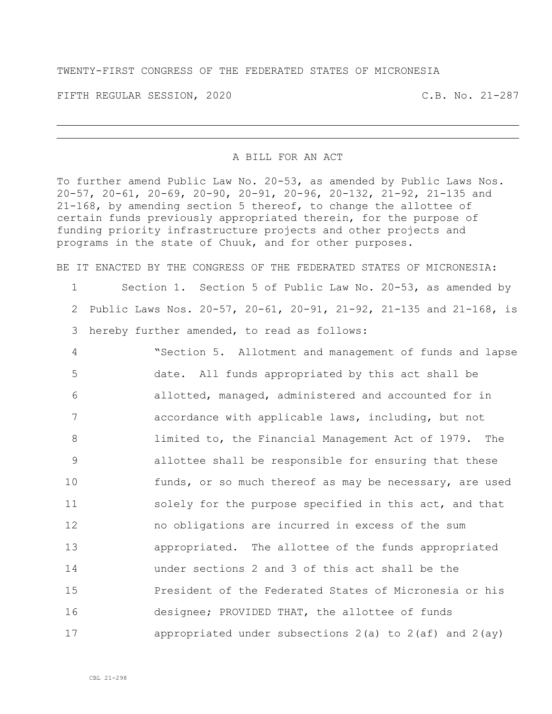TWENTY-FIRST CONGRESS OF THE FEDERATED STATES OF MICRONESIA

FIFTH REGULAR SESSION, 2020 C.B. No. 21-287

## A BILL FOR AN ACT

To further amend Public Law No. 20-53, as amended by Public Laws Nos. 20-57, 20-61, 20-69, 20-90, 20-91, 20-96, 20-132, 21-92, 21-135 and 21-168, by amending section 5 thereof, to change the allottee of certain funds previously appropriated therein, for the purpose of funding priority infrastructure projects and other projects and programs in the state of Chuuk, and for other purposes.

BE IT ENACTED BY THE CONGRESS OF THE FEDERATED STATES OF MICRONESIA: Section 1. Section 5 of Public Law No. 20-53, as amended by Public Laws Nos. 20-57, 20-61, 20-91, 21-92, 21-135 and 21-168, is hereby further amended, to read as follows:

 "Section 5. Allotment and management of funds and lapse date. All funds appropriated by this act shall be allotted, managed, administered and accounted for in accordance with applicable laws, including, but not limited to, the Financial Management Act of 1979. The allottee shall be responsible for ensuring that these **funds, or so much thereof as may be necessary, are used** 11 solely for the purpose specified in this act, and that no obligations are incurred in excess of the sum appropriated. The allottee of the funds appropriated under sections 2 and 3 of this act shall be the President of the Federated States of Micronesia or his designee; PROVIDED THAT, the allottee of funds appropriated under subsections 2(a) to 2(af) and 2(ay)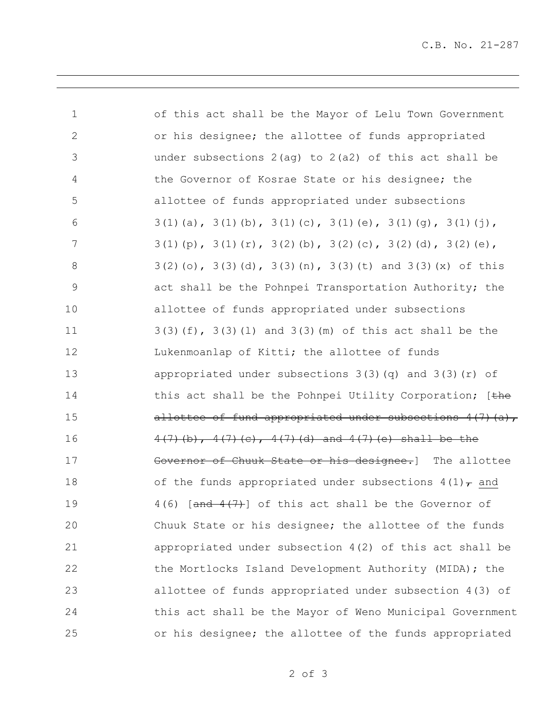C.B. No. 21-287

| $\mathbf 1$    | of this act shall be the Mayor of Lelu Town Government                  |
|----------------|-------------------------------------------------------------------------|
| $\mathbf{2}$   | or his designee; the allottee of funds appropriated                     |
| 3              | under subsections $2(aq)$ to $2(a2)$ of this act shall be               |
| $\overline{4}$ | the Governor of Kosrae State or his designee; the                       |
| 5              | allottee of funds appropriated under subsections                        |
| 6              | $3(1)(a)$ , $3(1)(b)$ , $3(1)(c)$ , $3(1)(e)$ , $3(1)(g)$ , $3(1)(j)$ , |
| $\overline{7}$ | $3(1)(p)$ , $3(1)(r)$ , $3(2)(b)$ , $3(2)(c)$ , $3(2)(d)$ , $3(2)(e)$ , |
| $\,8\,$        | $3(2)(o), 3(3)(d), 3(3)(n), 3(3)(t)$ and $3(3)(x)$ of this              |
| 9              | act shall be the Pohnpei Transportation Authority; the                  |
| 10             | allottee of funds appropriated under subsections                        |
| 11             | $3(3)(f)$ , $3(3)(1)$ and $3(3)(m)$ of this act shall be the            |
| 12             | Lukenmoanlap of Kitti; the allottee of funds                            |
| 13             | appropriated under subsections $3(3)(q)$ and $3(3)(r)$ of               |
| 14             | this act shall be the Pohnpei Utility Corporation; [the                 |
| 15             | allottee of fund appropriated under subsections $4(7)(a)$ ,             |
| 16             | $4(7)(b)$ , $4(7)(c)$ , $4(7)(d)$ and $4(7)(e)$ shall be the            |
| 17             | Governor of Chuuk State or his designee.] The allottee                  |
| 18             | of the funds appropriated under subsections $4(1)$ and                  |
| 19             | $4(6)$ [ $\frac{and}{4(7)}$ ] of this act shall be the Governor of      |
| 20             | Chuuk State or his designee; the allottee of the funds                  |
| 21             | appropriated under subsection $4(2)$ of this act shall be               |
| 22             | the Mortlocks Island Development Authority (MIDA); the                  |
| 23             | allottee of funds appropriated under subsection 4(3) of                 |
| 24             | this act shall be the Mayor of Weno Municipal Government                |
| 25             | or his designee; the allottee of the funds appropriated                 |